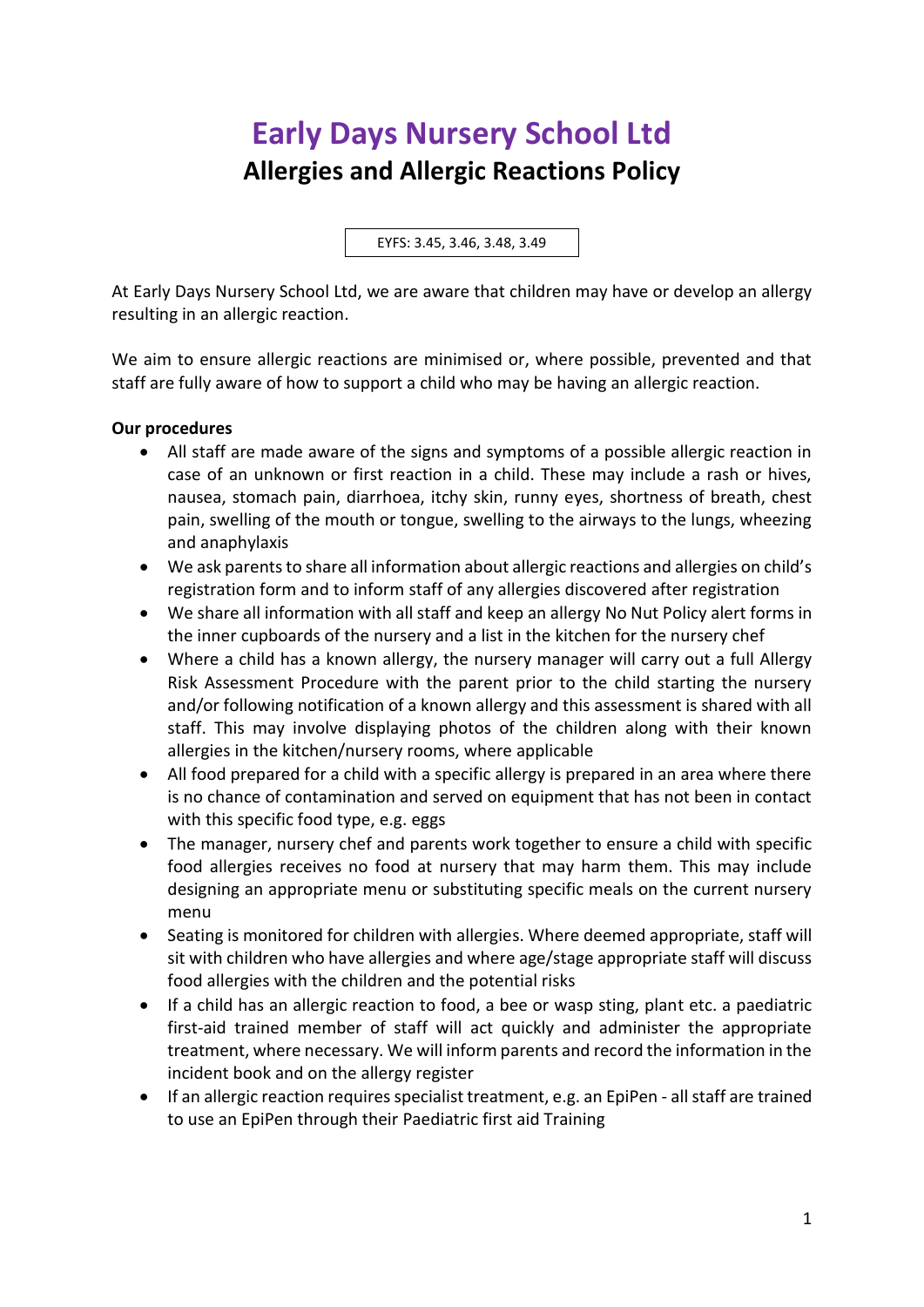## **Early Days Nursery School Ltd Allergies and Allergic Reactions Policy**

EYFS: 3.45, 3.46, 3.48, 3.49

At Early Days Nursery School Ltd, we are aware that children may have or develop an allergy resulting in an allergic reaction.

We aim to ensure allergic reactions are minimised or, where possible, prevented and that staff are fully aware of how to support a child who may be having an allergic reaction.

## **Our procedures**

- All staff are made aware of the signs and symptoms of a possible allergic reaction in case of an unknown or first reaction in a child. These may include a rash or hives, nausea, stomach pain, diarrhoea, itchy skin, runny eyes, shortness of breath, chest pain, swelling of the mouth or tongue, swelling to the airways to the lungs, wheezing and anaphylaxis
- We ask parents to share all information about allergic reactions and allergies on child's registration form and to inform staff of any allergies discovered after registration
- We share all information with all staff and keep an allergy No Nut Policy alert forms in the inner cupboards of the nursery and a list in the kitchen for the nursery chef
- Where a child has a known allergy, the nursery manager will carry out a full Allergy Risk Assessment Procedure with the parent prior to the child starting the nursery and/or following notification of a known allergy and this assessment is shared with all staff. This may involve displaying photos of the children along with their known allergies in the kitchen/nursery rooms, where applicable
- All food prepared for a child with a specific allergy is prepared in an area where there is no chance of contamination and served on equipment that has not been in contact with this specific food type, e.g. eggs
- The manager, nursery chef and parents work together to ensure a child with specific food allergies receives no food at nursery that may harm them. This may include designing an appropriate menu or substituting specific meals on the current nursery menu
- Seating is monitored for children with allergies. Where deemed appropriate, staff will sit with children who have allergies and where age/stage appropriate staff will discuss food allergies with the children and the potential risks
- If a child has an allergic reaction to food, a bee or wasp sting, plant etc. a paediatric first-aid trained member of staff will act quickly and administer the appropriate treatment, where necessary. We will inform parents and record the information in the incident book and on the allergy register
- If an allergic reaction requires specialist treatment, e.g. an EpiPen all staff are trained to use an EpiPen through their Paediatric first aid Training